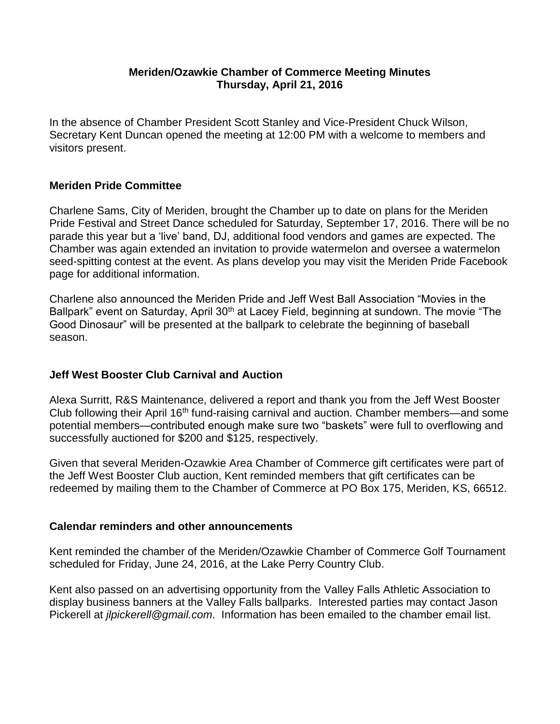#### **Meriden/Ozawkie Chamber of Commerce Meeting Minutes Thursday, April 21, 2016**

In the absence of Chamber President Scott Stanley and Vice-President Chuck Wilson, Secretary Kent Duncan opened the meeting at 12:00 PM with a welcome to members and visitors present.

## **Meriden Pride Committee**

Charlene Sams, City of Meriden, brought the Chamber up to date on plans for the Meriden Pride Festival and Street Dance scheduled for Saturday, September 17, 2016. There will be no parade this year but a 'live' band, DJ, additional food vendors and games are expected. The Chamber was again extended an invitation to provide watermelon and oversee a watermelon seed-spitting contest at the event. As plans develop you may visit the Meriden Pride Facebook page for additional information.

Charlene also announced the Meriden Pride and Jeff West Ball Association "Movies in the Ballpark" event on Saturday, April 30<sup>th</sup> at Lacey Field, beginning at sundown. The movie "The Good Dinosaur" will be presented at the ballpark to celebrate the beginning of baseball season.

#### **Jeff West Booster Club Carnival and Auction**

Alexa Surritt, R&S Maintenance, delivered a report and thank you from the Jeff West Booster Club following their April 16th fund-raising carnival and auction. Chamber members—and some potential members—contributed enough make sure two "baskets" were full to overflowing and successfully auctioned for \$200 and \$125, respectively.

Given that several Meriden-Ozawkie Area Chamber of Commerce gift certificates were part of the Jeff West Booster Club auction, Kent reminded members that gift certificates can be redeemed by mailing them to the Chamber of Commerce at PO Box 175, Meriden, KS, 66512.

#### **Calendar reminders and other announcements**

Kent reminded the chamber of the Meriden/Ozawkie Chamber of Commerce Golf Tournament scheduled for Friday, June 24, 2016, at the Lake Perry Country Club.

Kent also passed on an advertising opportunity from the Valley Falls Athletic Association to display business banners at the Valley Falls ballparks. Interested parties may contact Jason Pickerell at *jlpickerell@gmail.com*. Information has been emailed to the chamber email list.